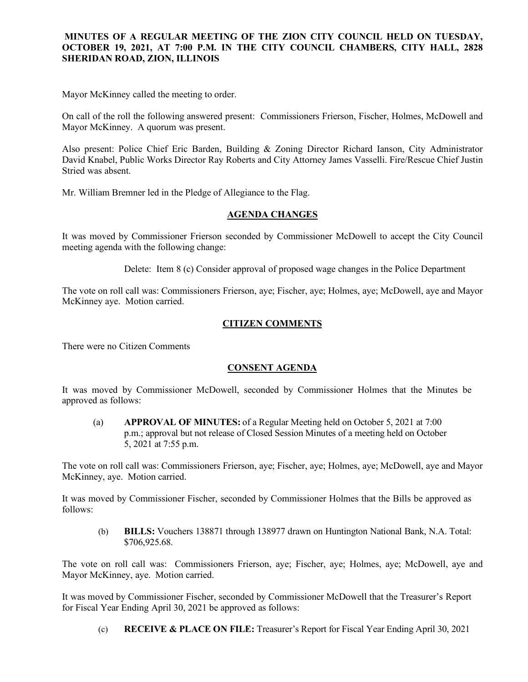### **MINUTES OF A REGULAR MEETING OF THE ZION CITY COUNCIL HELD ON TUESDAY, OCTOBER 19, 2021, AT 7:00 P.M. IN THE CITY COUNCIL CHAMBERS, CITY HALL, 2828 SHERIDAN ROAD, ZION, ILLINOIS**

#### 

Mayor McKinney called the meeting to order.

On call of the roll the following answered present: Commissioners Frierson, Fischer, Holmes, McDowell and Mayor McKinney. A quorum was present.

Also present: Police Chief Eric Barden, Building & Zoning Director Richard Ianson, City Administrator David Knabel, Public Works Director Ray Roberts and City Attorney James Vasselli. Fire/Rescue Chief Justin Stried was absent.

Mr. William Bremner led in the Pledge of Allegiance to the Flag.

### **AGENDA CHANGES**

It was moved by Commissioner Frierson seconded by Commissioner McDowell to accept the City Council meeting agenda with the following change:

Delete: Item 8 (c) Consider approval of proposed wage changes in the Police Department

The vote on roll call was: Commissioners Frierson, aye; Fischer, aye; Holmes, aye; McDowell, aye and Mayor McKinney aye. Motion carried.

## **CITIZEN COMMENTS**

There were no Citizen Comments

### **CONSENT AGENDA**

It was moved by Commissioner McDowell, seconded by Commissioner Holmes that the Minutes be approved as follows:

(a) **APPROVAL OF MINUTES:** of a Regular Meeting held on October 5, 2021 at 7:00 p.m.; approval but not release of Closed Session Minutes of a meeting held on October 5, 2021 at 7:55 p.m.

The vote on roll call was: Commissioners Frierson, aye; Fischer, aye; Holmes, aye; McDowell, aye and Mayor McKinney, aye. Motion carried.

It was moved by Commissioner Fischer, seconded by Commissioner Holmes that the Bills be approved as follows:

(b) **BILLS:** Vouchers 138871 through 138977 drawn on Huntington National Bank, N.A. Total: \$706,925.68.

The vote on roll call was: Commissioners Frierson, aye; Fischer, aye; Holmes, aye; McDowell, aye and Mayor McKinney, aye. Motion carried.

It was moved by Commissioner Fischer, seconded by Commissioner McDowell that the Treasurer's Report for Fiscal Year Ending April 30, 2021 be approved as follows:

(c) **RECEIVE & PLACE ON FILE:** Treasurer's Report for Fiscal Year Ending April 30, 2021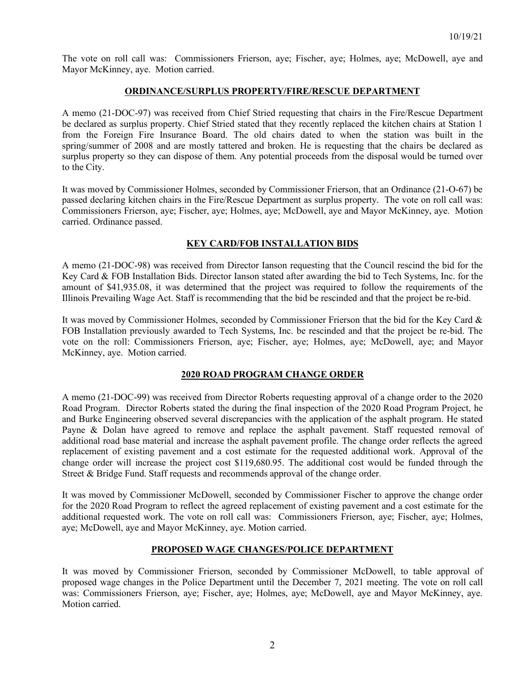The vote on roll call was: Commissioners Frierson, aye; Fischer, aye; Holmes, aye; McDowell, aye and Mayor McKinney, aye. Motion carried.

### **ORDINANCE/SURPLUS PROPERTY/FIRE/RESCUE DEPARTMENT**

A memo (21-DOC-97) was received from Chief Stried requesting that chairs in the Fire/Rescue Department be declared as surplus property. Chief Stried stated that they recently replaced the kitchen chairs at Station 1 from the Foreign Fire Insurance Board. The old chairs dated to when the station was built in the spring/summer of 2008 and are mostly tattered and broken. He is requesting that the chairs be declared as surplus property so they can dispose of them. Any potential proceeds from the disposal would be turned over to the City.

It was moved by Commissioner Holmes, seconded by Commissioner Frierson, that an Ordinance (21-O-67) be passed declaring kitchen chairs in the Fire/Rescue Department as surplus property. The vote on roll call was: Commissioners Frierson, aye; Fischer, aye; Holmes, aye; McDowell, aye and Mayor McKinney, aye. Motion carried. Ordinance passed.

## **KEY CARD/FOB INSTALLATION BIDS**

A memo (21-DOC-98) was received from Director Ianson requesting that the Council rescind the bid for the Key Card & FOB Installation Bids. Director Ianson stated after awarding the bid to Tech Systems, Inc. for the amount of \$41,935.08, it was determined that the project was required to follow the requirements of the Illinois Prevailing Wage Act. Staff is recommending that the bid be rescinded and that the project be re-bid.

It was moved by Commissioner Holmes, seconded by Commissioner Frierson that the bid for the Key Card & FOB Installation previously awarded to Tech Systems, Inc. be rescinded and that the project be re-bid. The vote on the roll: Commissioners Frierson, aye; Fischer, aye; Holmes, aye; McDowell, aye; and Mayor McKinney, aye. Motion carried.

### **2020 ROAD PROGRAM CHANGE ORDER**

A memo (21-DOC-99) was received from Director Roberts requesting approval of a change order to the 2020 Road Program. Director Roberts stated the during the final inspection of the 2020 Road Program Project, he and Burke Engineering observed several discrepancies with the application of the asphalt program. He stated Payne & Dolan have agreed to remove and replace the asphalt pavement. Staff requested removal of additional road base material and increase the asphalt pavement profile. The change order reflects the agreed replacement of existing pavement and a cost estimate for the requested additional work. Approval of the change order will increase the project cost \$119,680.95. The additional cost would be funded through the Street & Bridge Fund. Staff requests and recommends approval of the change order.

It was moved by Commissioner McDowell, seconded by Commissioner Fischer to approve the change order for the 2020 Road Program to reflect the agreed replacement of existing pavement and a cost estimate for the additional requested work. The vote on roll call was: Commissioners Frierson, aye; Fischer, aye; Holmes, aye; McDowell, aye and Mayor McKinney, aye. Motion carried.

## **PROPOSED WAGE CHANGES/POLICE DEPARTMENT**

It was moved by Commissioner Frierson, seconded by Commissioner McDowell, to table approval of proposed wage changes in the Police Department until the December 7, 2021 meeting. The vote on roll call was: Commissioners Frierson, aye; Fischer, aye; Holmes, aye; McDowell, aye and Mayor McKinney, aye. Motion carried.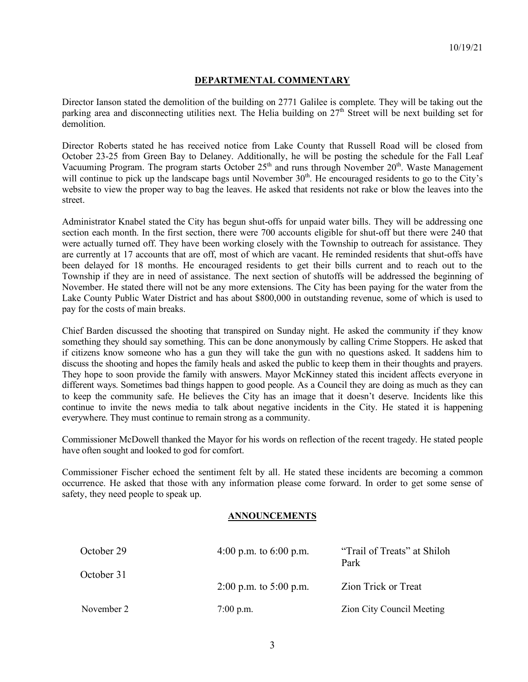# **DEPARTMENTAL COMMENTARY**

Director Ianson stated the demolition of the building on 2771 Galilee is complete. They will be taking out the parking area and disconnecting utilities next. The Helia building on  $27<sup>th</sup>$  Street will be next building set for demolition.

Director Roberts stated he has received notice from Lake County that Russell Road will be closed from October 23-25 from Green Bay to Delaney. Additionally, he will be posting the schedule for the Fall Leaf Vacuuming Program. The program starts October  $25<sup>th</sup>$  and runs through November  $20<sup>th</sup>$ . Waste Management will continue to pick up the landscape bags until November  $30<sup>th</sup>$ . He encouraged residents to go to the City's website to view the proper way to bag the leaves. He asked that residents not rake or blow the leaves into the street.

Administrator Knabel stated the City has begun shut-offs for unpaid water bills. They will be addressing one section each month. In the first section, there were 700 accounts eligible for shut-off but there were 240 that were actually turned off. They have been working closely with the Township to outreach for assistance. They are currently at 17 accounts that are off, most of which are vacant. He reminded residents that shut-offs have been delayed for 18 months. He encouraged residents to get their bills current and to reach out to the Township if they are in need of assistance. The next section of shutoffs will be addressed the beginning of November. He stated there will not be any more extensions. The City has been paying for the water from the Lake County Public Water District and has about \$800,000 in outstanding revenue, some of which is used to pay for the costs of main breaks.

Chief Barden discussed the shooting that transpired on Sunday night. He asked the community if they know something they should say something. This can be done anonymously by calling Crime Stoppers. He asked that if citizens know someone who has a gun they will take the gun with no questions asked. It saddens him to discuss the shooting and hopes the family heals and asked the public to keep them in their thoughts and prayers. They hope to soon provide the family with answers. Mayor McKinney stated this incident affects everyone in different ways. Sometimes bad things happen to good people. As a Council they are doing as much as they can to keep the community safe. He believes the City has an image that it doesn't deserve. Incidents like this continue to invite the news media to talk about negative incidents in the City. He stated it is happening everywhere. They must continue to remain strong as a community.

Commissioner McDowell thanked the Mayor for his words on reflection of the recent tragedy. He stated people have often sought and looked to god for comfort.

Commissioner Fischer echoed the sentiment felt by all. He stated these incidents are becoming a common occurrence. He asked that those with any information please come forward. In order to get some sense of safety, they need people to speak up.

### **ANNOUNCEMENTS**

| October 29 | 4:00 p.m. to $6:00$ p.m. | "Trail of Treats" at Shiloh<br>Park |
|------------|--------------------------|-------------------------------------|
| October 31 | 2:00 p.m. to $5:00$ p.m. | Zion Trick or Treat                 |
| November 2 | $7:00$ p.m.              | Zion City Council Meeting           |